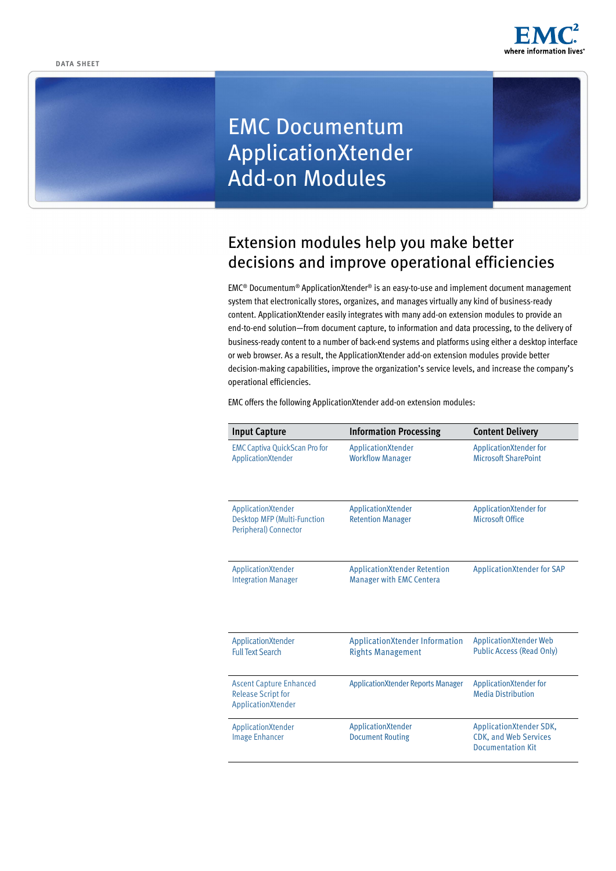

# EMC Documentum ApplicationXtender Add-on Modules

# Extension modules help you make better decisions and improve operational efficiencies

EMC® Documentum® ApplicationXtender® is an easy-to-use and implement document management system that electronically stores, organizes, and manages virtually any kind of business-ready content. ApplicationXtender easily integrates with many add-on extension modules to provide an end-to-end solution—from document capture, to information and data processing, to the delivery of business-ready content to a number of back-end systems and platforms using either a desktop interface or web browser. As a result, the ApplicationXtender add-on extension modules provide better decision-making capabilities, improve the organization's service levels, and increase the company's operational efficiencies.

EMC offers the following ApplicationXtender add-on extension modules:

| <b>Input Capture</b>                                                              | <b>Information Processing</b>                                          | <b>Content Delivery</b>                                                             |
|-----------------------------------------------------------------------------------|------------------------------------------------------------------------|-------------------------------------------------------------------------------------|
| <b>EMC Captiva QuickScan Pro for</b><br>ApplicationXtender                        | ApplicationXtender<br><b>Workflow Manager</b>                          | ApplicationXtender for<br><b>Microsoft SharePoint</b>                               |
| ApplicationXtender<br>Desktop MFP (Multi-Function<br>Peripheral) Connector        | ApplicationXtender<br><b>Retention Manager</b>                         | ApplicationXtender for<br><b>Microsoft Office</b>                                   |
| ApplicationXtender<br><b>Integration Manager</b>                                  | <b>ApplicationXtender Retention</b><br><b>Manager with EMC Centera</b> | <b>ApplicationXtender for SAP</b>                                                   |
| ApplicationXtender<br><b>Full Text Search</b>                                     | Application Xtender Information<br><b>Rights Management</b>            | <b>ApplicationXtender Web</b><br>Public Access (Read Only)                          |
| <b>Ascent Capture Enhanced</b><br><b>Release Script for</b><br>ApplicationXtender | <b>ApplicationXtender Reports Manager</b>                              | ApplicationXtender for<br><b>Media Distribution</b>                                 |
| ApplicationXtender<br><b>Image Enhancer</b>                                       | <b>ApplicationXtender</b><br><b>Document Routing</b>                   | ApplicationXtender SDK,<br><b>CDK, and Web Services</b><br><b>Documentation Kit</b> |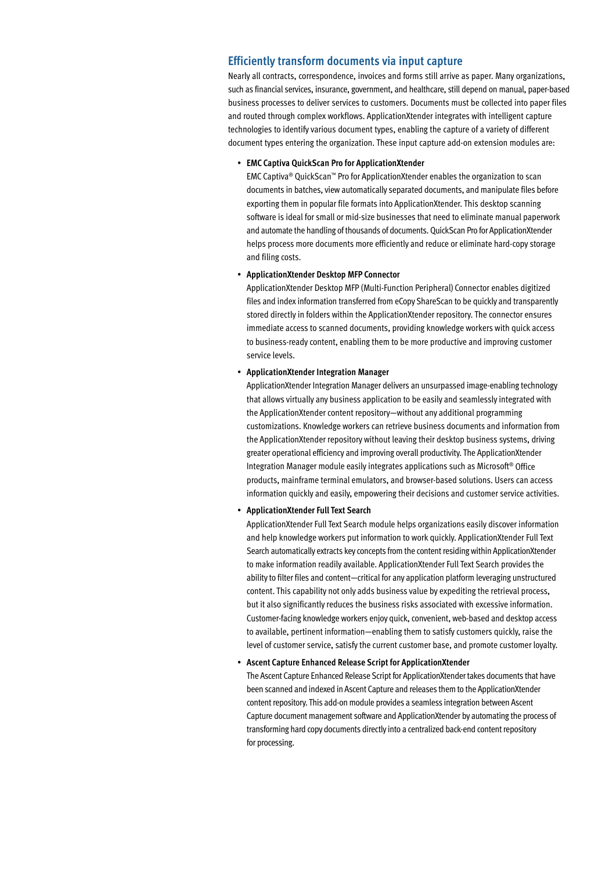# **Efficiently transform documents via input capture**

Nearly all contracts, correspondence, invoices and forms still arrive as paper. Many organizations, such as financial services, insurance, government, and healthcare, still depend on manual, paper-based business processes to deliver services to customers. Documents must be collected into paper files and routed through complex workflows. ApplicationXtender integrates with intelligent capture technologies to identify various document types, enabling the capture of a variety of different document types entering the organization. These input capture add-on extension modules are:

#### • **EMC Captiva QuickScan Pro for ApplicationXtender**

EMC Captiva® QuickScan™ Pro for ApplicationXtender enables the organization to scan documents in batches, view automatically separated documents, and manipulate files before exporting them in popular file formats into ApplicationXtender. This desktop scanning software is ideal for small or mid-size businesses that need to eliminate manual paperwork and automate the handling of thousands of documents. QuickScan Pro for ApplicationXtender helps process more documents more efficiently and reduce or eliminate hard-copy storage and filing costs.

#### • **ApplicationXtender Desktop MFP Connector**

ApplicationXtender Desktop MFP (Multi-Function Peripheral) Connector enables digitized files and index information transferred from eCopy ShareScan to be quickly and transparently stored directly in folders within the ApplicationXtender repository. The connector ensures immediate access to scanned documents, providing knowledge workers with quick access to business-ready content, enabling them to be more productive and improving customer service levels.

#### • **ApplicationXtender Integration Manager**

ApplicationXtender Integration Manager delivers an unsurpassed image-enabling technology that allows virtually any business application to be easily and seamlessly integrated with the ApplicationXtender content repository—without any additional programming customizations. Knowledge workers can retrieve business documents and information from the ApplicationXtender repository without leaving their desktop business systems, driving greater operational efficiency and improving overall productivity. The ApplicationXtender Integration Manager module easily integrates applications such as Microsoft® Office products, mainframe terminal emulators, and browser-based solutions. Users can access information quickly and easily, empowering their decisions and customer service activities.

#### • **ApplicationXtender Full Text Search**

ApplicationXtender Full Text Search module helps organizations easily discover information and help knowledge workers put information to work quickly. ApplicationXtender Full Text Search automatically extracts key concepts from the content residing within ApplicationXtender to make information readily available. ApplicationXtender Full Text Search provides the ability to filter files and content—critical for any application platform leveraging unstructured content. This capability not only adds business value by expediting the retrieval process, but it also significantly reduces the business risks associated with excessive information. Customer-facing knowledge workers enjoy quick, convenient, web-based and desktop access to available, pertinent information—enabling them to satisfy customers quickly, raise the level of customer service, satisfy the current customer base, and promote customer loyalty.

# **Ascent Capture Enhanced Release Script for ApplicationXtender**

The Ascent Capture Enhanced Release Script for ApplicationXtender takes documents that have been scanned and indexed in Ascent Capture and releases them to the ApplicationXtender content repository. This add-on module provides a seamless integration between Ascent Capture document management software and ApplicationXtender by automating the process of transforming hard copy documents directly into a centralized back-end content repository for processing.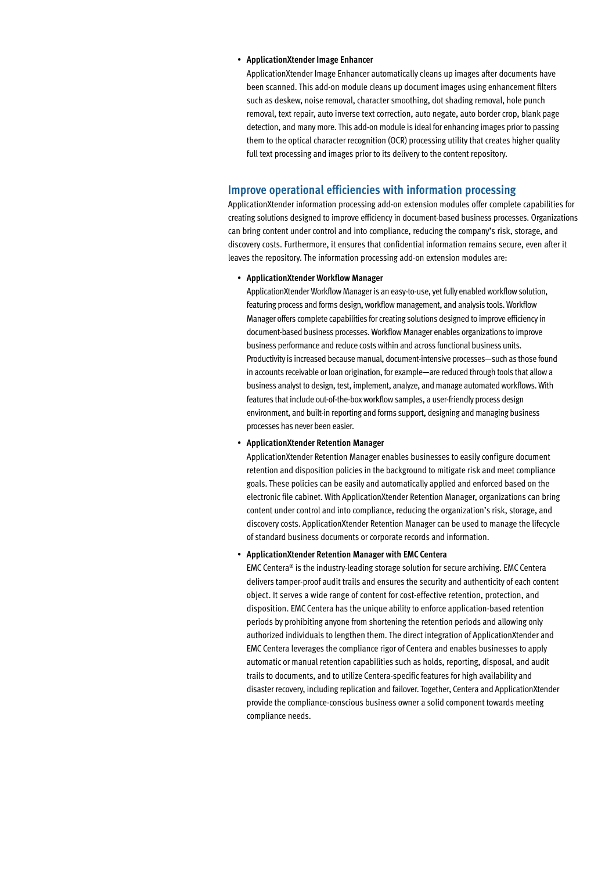#### • **ApplicationXtender Image Enhancer**

ApplicationXtender Image Enhancer automatically cleans up images after documents have been scanned. This add-on module cleans up document images using enhancement filters such as deskew, noise removal, character smoothing, dot shading removal, hole punch removal, text repair, auto inverse text correction, auto negate, auto border crop, blank page detection, and many more. This add-on module is ideal for enhancing images prior to passing them to the optical character recognition (OCR) processing utility that creates higher quality full text processing and images prior to its delivery to the content repository.

# **Improve operational efficiencies with information processing**

ApplicationXtender information processing add-on extension modules offer complete capabilities for creating solutions designed to improve efficiency in document-based business processes. Organizations can bring content under control and into compliance, reducing the company's risk, storage, and discovery costs. Furthermore, it ensures that confidential information remains secure, even after it leaves the repository. The information processing add-on extension modules are:

#### • **ApplicationXtender Workflow Manager**

ApplicationXtender Workflow Manager is an easy-to-use, yet fully enabled workflow solution, featuring process and forms design, workflow management, and analysis tools. Workflow Manager offers complete capabilities for creating solutions designed to improve efficiency in document-based business processes. Workflow Manager enables organizations to improve business performance and reduce costs within and across functional business units. Productivity is increased because manual, document-intensive processes—such as those found in accounts receivable or loan origination, for example—are reduced through tools that allow a business analyst to design, test, implement, analyze, and manage automated workflows. With features that include out-of-the-box workflow samples, a user-friendly process design environment, and built-in reporting and forms support, designing and managing business processes has never been easier.

#### • **ApplicationXtender Retention Manager**

ApplicationXtender Retention Manager enables businesses to easily configure document retention and disposition policies in the background to mitigate risk and meet compliance goals. These policies can be easily and automatically applied and enforced based on the electronic file cabinet. With ApplicationXtender Retention Manager, organizations can bring content under control and into compliance, reducing the organization's risk, storage, and discovery costs. ApplicationXtender Retention Manager can be used to manage the lifecycle of standard business documents or corporate records and information.

#### • **ApplicationXtender Retention Manager with EMC Centera**

EMC Centera® is the industry-leading storage solution for secure archiving. EMC Centera delivers tamper-proof audit trails and ensures the security and authenticity of each content object. It serves a wide range of content for cost-effective retention, protection, and disposition. EMC Centera has the unique ability to enforce application-based retention periods by prohibiting anyone from shortening the retention periods and allowing only authorized individuals to lengthen them. The direct integration of ApplicationXtender and EMC Centera leverages the compliance rigor of Centera and enables businesses to apply automatic or manual retention capabilities such as holds, reporting, disposal, and audit trails to documents, and to utilize Centera-specific features for high availability and disaster recovery, including replication and failover. Together, Centera and ApplicationXtender provide the compliance-conscious business owner a solid component towards meeting compliance needs.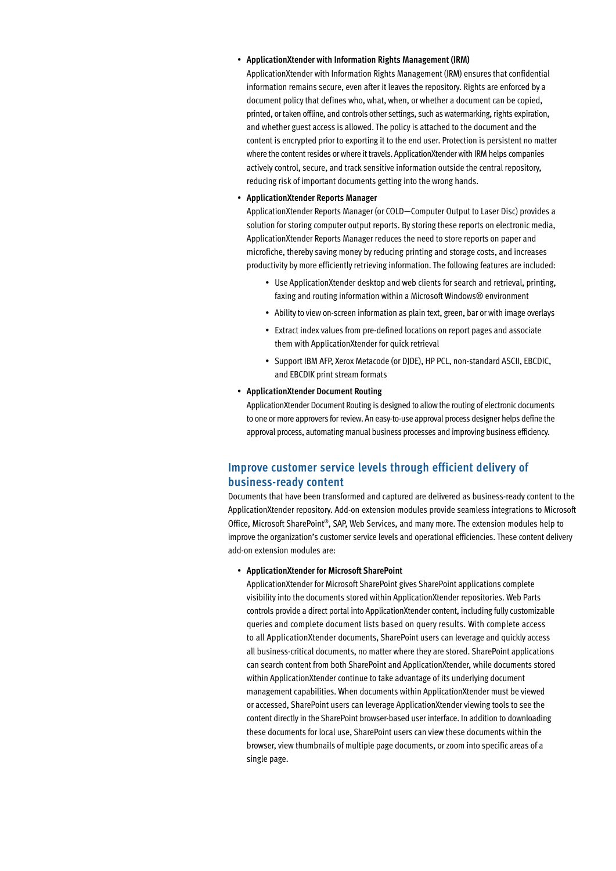#### • **ApplicationXtender with Information Rights Management (IRM)**

ApplicationXtender with Information Rights Management (IRM) ensures that confidential information remains secure, even after it leaves the repository. Rights are enforced by a document policy that defines who, what, when, or whether a document can be copied, printed, or taken offline, and controls other settings, such as watermarking, rights expiration, and whether guest access is allowed. The policy is attached to the document and the content is encrypted prior to exporting it to the end user. Protection is persistent no matter where the content resides or where it travels. ApplicationXtender with IRM helps companies actively control, secure, and track sensitive information outside the central repository, reducing risk of important documents getting into the wrong hands.

### • **ApplicationXtender Reports Manager**

ApplicationXtender Reports Manager (or COLD—Computer Output to Laser Disc) provides a solution for storing computer output reports. By storing these reports on electronic media, ApplicationXtender Reports Manager reduces the need to store reports on paper and microfiche, thereby saving money by reducing printing and storage costs, and increases productivity by more efficiently retrieving information. The following features are included:

- Use ApplicationXtender desktop and web clients for search and retrieval, printing, faxing and routing information within a Microsoft Windows® environment
- Ability to view on-screen information as plain text, green, bar or with image overlays
- Extract index values from pre-defined locations on report pages and associate them with ApplicationXtender for quick retrieval
- Support IBM AFP, Xerox Metacode (or DJDE), HP PCL, non-standard ASCII, EBCDIC, and EBCDIK print stream formats
- • **ApplicationXtender Document Routing**

ApplicationXtender Document Routing is designed to allow the routing of electronic documents to one or more approvers for review. An easy-to-use approval process designer helps define the approval process, automating manual business processes and improving business efficiency.

# **Improve customer service levels through efficient delivery of business-ready content**

Documents that have been transformed and captured are delivered as business-ready content to the ApplicationXtender repository. Add-on extension modules provide seamless integrations to Microsoft Office, Microsoft SharePoint®, SAP, Web Services, and many more. The extension modules help to improve the organization's customer service levels and operational efficiencies. These content delivery add-on extension modules are:

#### • **ApplicationXtender for Microsoft SharePoint**

ApplicationXtender for Microsoft SharePoint gives SharePoint applications complete visibility into the documents stored within ApplicationXtender repositories. Web Parts controls provide a direct portal into ApplicationXtender content, including fully customizable queries and complete document lists based on query results. With complete access to all ApplicationXtender documents, SharePoint users can leverage and quickly access all business-critical documents, no matter where they are stored. SharePoint applications can search content from both SharePoint and ApplicationXtender, while documents stored within ApplicationXtender continue to take advantage of its underlying document management capabilities. When documents within ApplicationXtender must be viewed or accessed, SharePoint users can leverage ApplicationXtender viewing tools to see the content directly in the SharePoint browser-based user interface. In addition to downloading these documents for local use, SharePoint users can view these documents within the browser, view thumbnails of multiple page documents, or zoom into specific areas of a single page.